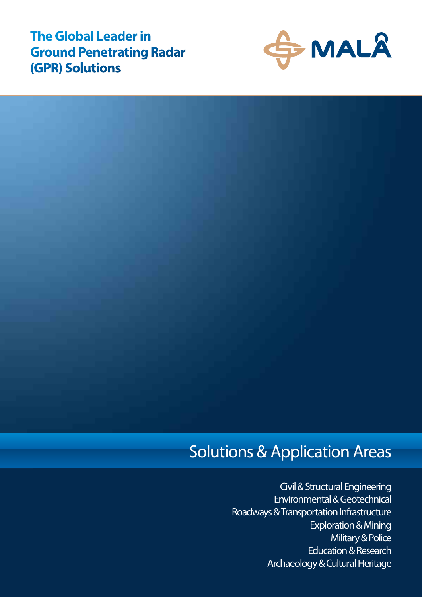**The Global Leader in Ground Penetrating Radar (GPR) Solutions**



### Solutions & Application Areas

 Civil & Structural Engineering Environmental & Geotechnical Roadways & Transportation Infrastructure Exploration & Mining Military & Police Education & Research Archaeology & Cultural Heritage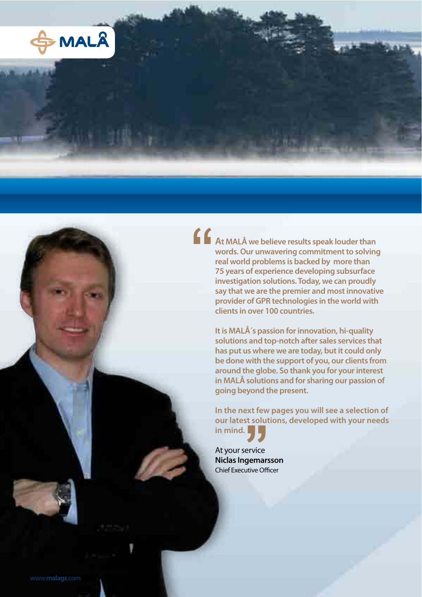

**At MALÅ we believe results speak louder than words. Our unwavering commitment to solving real world problems is backed by more than 75 years of experience developing subsurface investigation solutions. Today, we can proudly say that we are the premier and most innovative provider of GPR technologies in the world with clients in over 100 countries.**

> **It is MALÅ´s passion for innovation, hi-quality solutions and top-notch after sales services that has put us where we are today, but it could only be done with the support of you, our clients from around the globe. So thank you for your interest in MALÅ solutions and for sharing our passion of going beyond the present.**

**In the next few pages you will see a selection of our latest solutions, developed with your needs in mind.**

At your service **Niclas Ingemarsson** Chief Executive Officer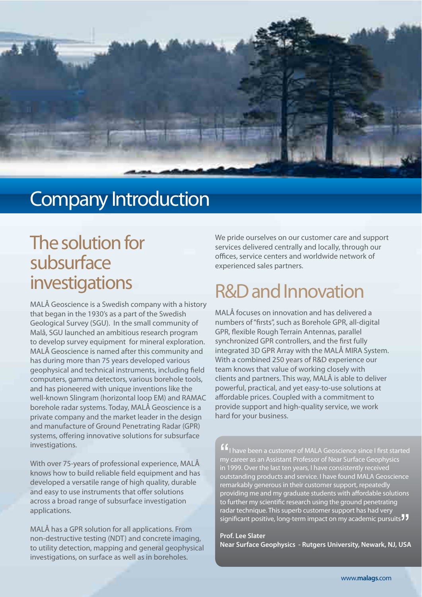

### Company Introduction

### The solution for subsurface investigations

MALÅ Geoscience is a Swedish company with a history that began in the 1930's as a part of the Swedish Geological Survey (SGU). In the small community of Malå, SGU launched an ambitious research program to develop survey equipment for mineral exploration. MALÅ Geoscience is named after this community and has during more than 75 years developed various geophysical and technical instruments, including field computers, gamma detectors, various borehole tools, and has pioneered with unique inventions like the well-known Slingram (horizontal loop EM) and RAMAC borehole radar systems. Today, MALÅ Geoscience is a private company and the market leader in the design and manufacture of Ground Penetrating Radar (GPR) systems, offering innovative solutions for subsurface investigations.

With over 75-years of professional experience, MALÅ knows how to build reliable field equipment and has developed a versatile range of high quality, durable and easy to use instruments that offer solutions across a broad range of subsurface investigation applications.

MALÅ has a GPR solution for all applications. From non-destructive testing (NDT) and concrete imaging, to utility detection, mapping and general geophysical investigations, on surface as well as in boreholes.

We pride ourselves on our customer care and support services delivered centrally and locally, through our offices, service centers and worldwide network of experienced sales partners.

## R&D and Innovation

MALÅ focuses on innovation and has delivered a numbers of "firsts", such as Borehole GPR, all-digital GPR, flexible Rough Terrain Antennas, parallel synchronized GPR controllers, and the first fully integrated 3D GPR Array with the MALÅ MIRA System. With a combined 250 years of R&D experience our team knows that value of working closely with clients and partners. This way, MALÅ is able to deliver powerful, practical, and yet easy-to-use solutions at affordable prices. Coupled with a commitment to provide support and high-quality service, we work hard for your business.

 $^{\prime}$   $^{\prime}$  my in 1 I have been a customer of MALA Geoscience since I first started my career as an Assistant Professor of Near Surface Geophysics in 1999. Over the last ten years, I have consistently received outstanding products and service. I have found MALA Geoscience remarkably generous in their customer support, repeatedly  $p$ roviding me and my graduate students with affordable solutions to further my scientific research using the ground penetrating radar technique. This superb customer support has had very significant positive, long-term impact on my academic pursuits JJ<br>Prof. Lee Slater

**Prof. Lee Slater Near Surface Geophysics - Rutgers University, Newark, NJ, USA**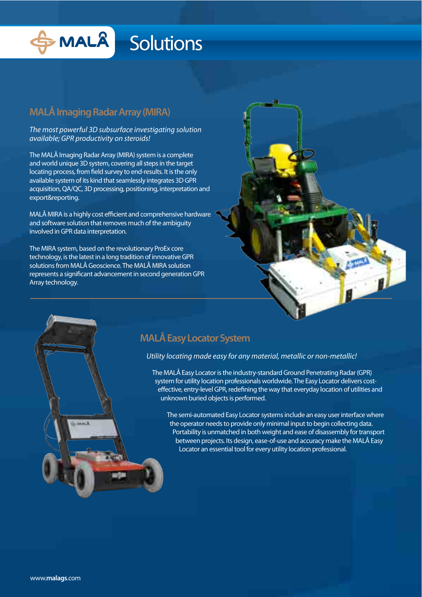

#### **MALÅ Imaging Radar Array (MIRA)**

The most powerful 3D subsurface investigating solution available; GPR productivity on steroids!

The MALÅ Imaging Radar Array (MIRA) system is a complete and world unique 3D system, covering all steps in the target locating process, from field survey to end-results. It is the only available system of its kind that seamlessly integrates 3D GPR acquisition, QA/QC, 3D processing, positioning, interpretation and export&reporting.

MALÅ MIRA is a highly cost efficient and comprehensive hardware and software solution that removes much of the ambiguity involved in GPR data interpretation.

The MIRA system, based on the revolutionary ProEx core technology, is the latest in a long tradition of innovative GPR solutions from MALÅ Geoscience. The MALÅ MIRA solution represents a significant advancement in second generation GPR Array technology.

#### **MALÅ Easy Locator System**

#### Utility locating made easy for any material, metallic or non-metallic!

The MALÅ Easy Locator is the industry-standard Ground Penetrating Radar (GPR) system for utility location professionals worldwide. The Easy Locator delivers costeffective, entry-level GPR, redefining the way that everyday location of utilities and unknown buried objects is performed.

The semi-automated Easy Locator systems include an easy user interface where the operator needs to provide only minimal input to begin collecting data. Portability is unmatched in both weight and ease of disassembly for transport between projects. Its design, ease-of-use and accuracy make the MALÅ Easy Locator an essential tool for every utility location professional.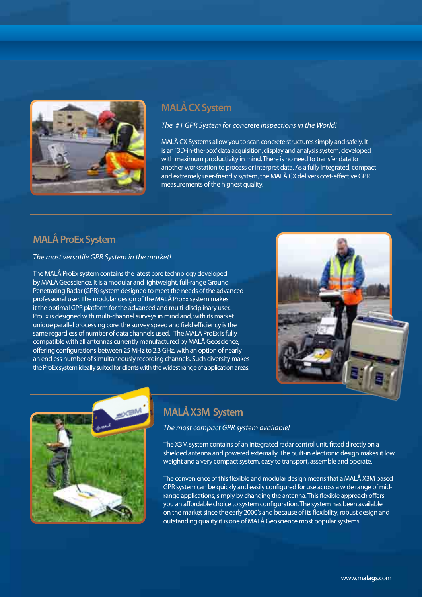

#### **MALÅ CX System**

The #1 GPR System for concrete inspections in the World!

MALÅ CX Systems allow you to scan concrete structures simply and safely. It is an `3D-in-the-box' data acquisition, display and analysis system, developed with maximum productivity in mind. There is no need to transfer data to another workstation to process or interpret data. As a fully integrated, compact and extremely user-friendly system, the MALÅ CX delivers cost-effective GPR measurements of the highest quality.

#### **MALÅ ProEx System**

#### The most versatile GPR System in the market!

The MALÅ ProEx system contains the latest core technology developed by MALÅ Geoscience. It is a modular and lightweight, full-range Ground Penetrating Radar (GPR) system designed to meet the needs of the advanced professional user. The modular design of the MALÅ ProEx system makes it the optimal GPR platform for the advanced and multi-disciplinary user. ProEx is designed with multi-channel surveys in mind and, with its market unique parallel processing core, the survey speed and field efficiency is the same regardless of number of data channels used. The MALÅ ProEx is fully compatible with all antennas currently manufactured by MALÅ Geoscience, offering configurations between 25 MHz to 2.3 GHz, with an option of nearly an endless number of simultaneously recording channels. Such diversity makes the ProEx system ideally suited for clients with the widest range of application areas.





#### **MALÅ X3M System**

The most compact GPR system available!

The X3M system contains of an integrated radar control unit, fitted directly on a shielded antenna and powered externally. The built-in electronic design makes it low weight and a very compact system, easy to transport, assemble and operate.

The convenience of this flexible and modular design means that a MALÅ X3M based GPR system can be quickly and easily configured for use across a wide range of midrange applications, simply by changing the antenna. This flexible approach offers you an affordable choice to system configuration. The system has been available on the market since the early 2000's and because of its flexibility, robust design and outstanding quality it is one of MALÅ Geoscience most popular systems.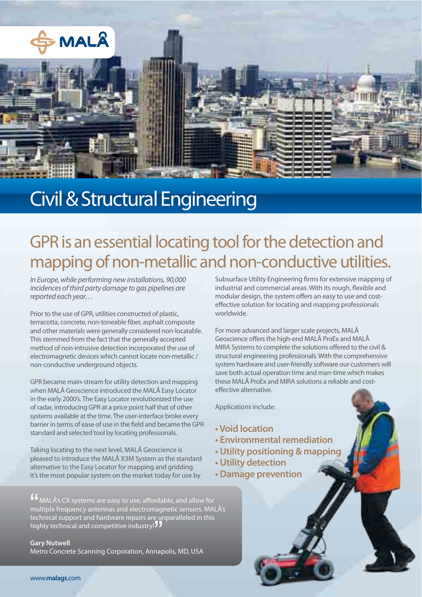

## Civil & Structural Engineering

### GPR is an essential locating tool for the detection and mapping of non-metallic and non-conductive utilities.

In Europe, while performing new installations, 90,000 incidences of third party damage to gas pipelines are reported each year…

Prior to the use of GPR, utilities constructed of plastic, terracotta, concrete, non-toneable fiber, asphalt composite and other materials were generally considered non-locatable. This stemmed from the fact that the generally accepted method of non-intrusive detection incorporated the use of electromagnetic devices which cannot locate non-metallic / non-conductive underground objects.

GPR became main-stream for utility detection and mapping when MALÅ Geoscience introduced the MALÅ Easy Locator in the early 2000's. The Easy Locator revolutionized the use of radar, introducing GPR at a price point half that of other systems available at the time. The user-interface broke every barrier in terms of ease of use in the field and became the GPR standard and selected tool by locating professionals.

Taking locating to the next level, MALÅ Geoscience is pleased to introduce the MALÅ X3M System as the standard alternative to the Easy Locator for mapping and gridding. It's the most popular system on the market today for use by

 $'$   $\sim$   $\frac{1}{10}$ MALÅ's CX systems are easy to use, affordable, and allow for multiple frequency antennas and electromagnetic sensors. MALÅ's technical support and hardware repairs are unparalleled in this commear support and nardware repairs are on<br>highly technical and competitive industry! 11<br>Gary Nutwell

**Gary Nutwell** Metro Concrete Scanning Corporation, Annapolis, MD, USA Subsurface Utility Engineering firms for extensive mapping of industrial and commercial areas. With its rough, flexible and modular design, the system offers an easy to use and costeffective solution for locating and mapping professionals worldwide.

For more advanced and larger scale projects, MALÅ Geoscience offers the high-end MALÅ ProEx and MALÅ MIRA Systems to complete the solutions offered to the civil & structural engineering professionals. With the comprehensive system hardware and user-friendly software our customers will save both actual operation time and man-time which makes these MALÅ ProEx and MIRA solutions a reliable and costeffective alternative.

- **Void location**
- **Environmental remediation**
- **Utility positioning & mapping**
- **Utility detection**
- **Damage prevention**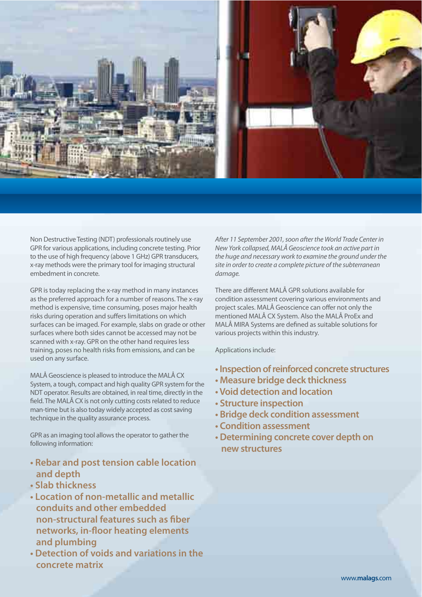

Non Destructive Testing (NDT) professionals routinely use GPR for various applications, including concrete testing. Prior to the use of high frequency (above 1 GHz) GPR transducers, x-ray methods were the primary tool for imaging structural embedment in concrete.

GPR is today replacing the x-ray method in many instances as the preferred approach for a number of reasons. The x-ray method is expensive, time consuming, poses major health risks during operation and suffers limitations on which surfaces can be imaged. For example, slabs on grade or other surfaces where both sides cannot be accessed may not be scanned with x-ray. GPR on the other hand requires less training, poses no health risks from emissions, and can be used on any surface.

MALÅ Geoscience is pleased to introduce the MALÅ CX System, a tough, compact and high quality GPR system for the NDT operator. Results are obtained, in real time, directly in the field. The MALÅ CX is not only cutting costs related to reduce man-time but is also today widely accepted as cost saving technique in the quality assurance process.

GPR as an imaging tool allows the operator to gather the following information:

- **Rebar and post tension cable location and depth**
- **Slab thickness**
- **t-I ocation of non-metallic and metallic conduits and other embedded non-structural features such as !ber networks, in-"oor heating elements and plumbing**
- **Detection of voids and variations in the concrete matrix**

After 11 September 2001, soon after the World Trade Center in New York collapsed, MALÅ Geoscience took an active part in the huge and necessary work to examine the ground under the site in order to create a complete picture of the subterranean damage.

There are different MALÅ GPR solutions available for condition assessment covering various environments and project scales. MALÅ Geoscience can offer not only the mentioned MALÅ CX System. Also the MALÅ ProEx and MALÅ MIRA Systems are defined as suitable solutions for various projects within this industry.

- *t* Inspection of reinforced concrete structures
- **Measure bridge deck thickness**
- **Void detection and location**
- **Structure inspection**
- **Bridge deck condition assessment**
- **Condition assessment**
- **Determining concrete cover depth on new structures**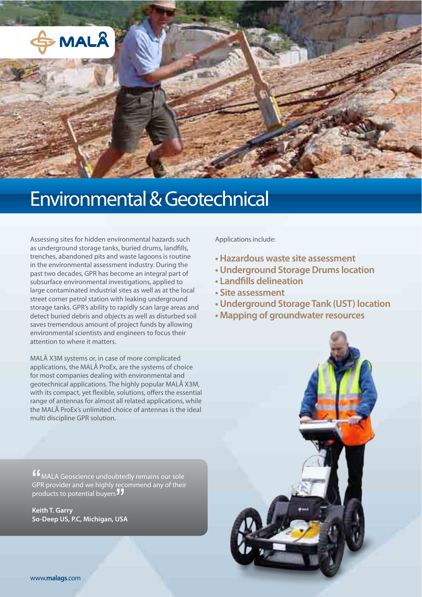

## Environmental & Geotechnical

Assessing sites for hidden environmental hazards such as underground storage tanks, buried drums, landfills, trenches, abandoned pits and waste lagoons is routine in the environmental assessment industry. During the past two decades, GPR has become an integral part of subsurface environmental investigations, applied to large contaminated industrial sites as well as at the local street corner petrol station with leaking underground storage tanks. GPR's ability to rapidly scan large areas and detect buried debris and objects as well as disturbed soil saves tremendous amount of project funds by allowing environmental scientists and engineers to focus their attention to where it matters.

MALÅ X3M systems or, in case of more complicated applications, the MALÅ ProEx, are the systems of choice for most companies dealing with environmental and geotechnical applications. The highly popular MALÅ X3M, with its compact, yet flexible, solutions, offers the essential range of antennas for almost all related applications, while the MALÅ ProEx's unlimited choice of antennas is the ideal multi discipline GPR solution.

Applications include:

- **Hazardous waste site assessment**
- **Underground Storage Drums location**
- **Landfills delineation**
- **Site assessment**
- **Underground Storage Tank (UST) location**
- **Mapping of groundwater resources**



"<br>GPI<br>prc MALA Geoscience undoubtedly remains our sole GPR provider and we highly recommend any of their or mprovider and we mgmy recept<br>products to potential buyers<sup>77</sup><br>Keith T. Garry

**Keith T. Garry** So-Deep US, P.C, Michigan, USA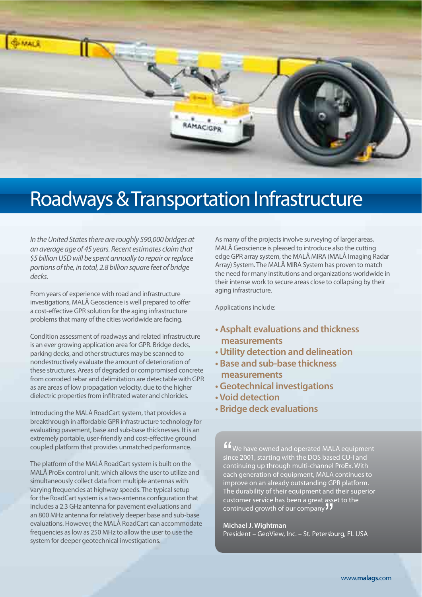

# Roadways & Transportation Infrastructure

In the United States there are roughly 590,000 bridges at an average age of 45 years. Recent estimates claim that \$5 billion USD will be spent annually to repair or replace portions of the, in total, 2.8 billion square feet of bridge decks.

From years of experience with road and infrastructure investigations, MALÅ Geoscience is well prepared to offer a cost-effective GPR solution for the aging infrastructure problems that many of the cities worldwide are facing.

Condition assessment of roadways and related infrastructure is an ever growing application area for GPR. Bridge decks, parking decks, and other structures may be scanned to nondestructively evaluate the amount of deterioration of these structures. Areas of degraded or compromised concrete from corroded rebar and delimitation are detectable with GPR as are areas of low propagation velocity, due to the higher dielectric properties from infiltrated water and chlorides.

Introducing the MALÅ RoadCart system, that provides a breakthrough in affordable GPR infrastructure technology for evaluating pavement, base and sub-base thicknesses. It is an extremely portable, user-friendly and cost-effective ground coupled platform that provides unmatched performance.

The platform of the MALÅ RoadCart system is built on the MALÅ ProEx control unit, which allows the user to utilize and simultaneously collect data from multiple antennas with varying frequencies at highway speeds. The typical setup for the RoadCart system is a two-antenna configuration that includes a 2.3 GHz antenna for pavement evaluations and an 800 MHz antenna for relatively deeper base and sub-base evaluations. However, the MALÅ RoadCart can accommodate frequencies as low as 250 MHz to allow the user to use the system for deeper geotechnical investigations.

As many of the projects involve surveying of larger areas, MALÅ Geoscience is pleased to introduce also the cutting edge GPR array system, the MALÅ MIRA (MALÅ Imaging Radar Array) System. The MALÅ MIRA System has proven to match the need for many institutions and organizations worldwide in their intense work to secure areas close to collapsing by their aging infrastructure.

Applications include:

- **Asphalt evaluations and thickness measurements**
- **t**Utility detection and delineation
- **Base and sub-base thickness measurements**
- **Geotechnical investigations**
- **Void detection**
- *t* **Bridge deck evaluations**

 $^{\prime}$   $\frac{1}{2}$   $\frac{1}{2}$   $\frac{1}{2}$   $\frac{1}{2}$   $\frac{1}{2}$   $\frac{1}{2}$   $\frac{1}{2}$   $\frac{1}{2}$   $\frac{1}{2}$   $\frac{1}{2}$   $\frac{1}{2}$   $\frac{1}{2}$   $\frac{1}{2}$   $\frac{1}{2}$   $\frac{1}{2}$   $\frac{1}{2}$   $\frac{1}{2}$   $\frac{1}{2}$   $\frac{1}{2}$   $\frac{1}{2}$   $\frac{1}{2}$   $\frac{$ We have owned and operated MALA equipment since 2001, starting with the DOS based CU-I and continuing up through multi-channel ProEx. With each generation of equipment, MALA continues to improve on an already outstanding GPR platform. The durability of their equipment and their superior customer service has been a great asset to the continued growth of our company<br>**The continued growth of our company**<br>Michael J. Wightman

#### **Michael J. Wightman**

President – GeoView, Inc. – St. Petersburg, FL USA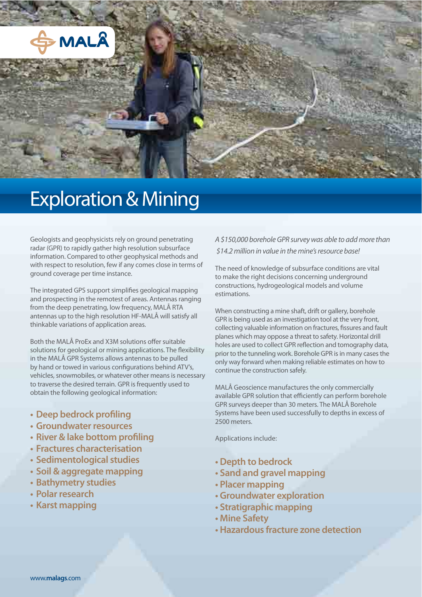

## Exploration & Mining

Geologists and geophysicists rely on ground penetrating radar (GPR) to rapidly gather high resolution subsurface information. Compared to other geophysical methods and with respect to resolution, few if any comes close in terms of ground coverage per time instance.

The integrated GPS support simplifies geological mapping and prospecting in the remotest of areas. Antennas ranging from the deep penetrating, low frequency, MALÅ RTA antennas up to the high resolution HF-MALÅ will satisfy all thinkable variations of application areas.

Both the MALÅ ProEx and X3M solutions offer suitable solutions for geological or mining applications. The flexibility in the MALÅ GPR Systems allows antennas to be pulled by hand or towed in various configurations behind ATV's, vehicles, snowmobiles, or whatever other means is necessary to traverse the desired terrain. GPR is frequently used to obtain the following geological information:

- **Deep bedrock profiling**
- **Groundwater resources**
- **River & lake bottom profiling**
- **Fractures characterisation**
- **Sedimentological studies**
- **Soil & aggregate mapping**
- **Bathymetry studies**
- **Polar research**
- **Karst mapping**

A \$150,000 borehole GPR survey was able to add more than \$14.2 million in value in the mine's resource base!

The need of knowledge of subsurface conditions are vital to make the right decisions concerning underground constructions, hydrogeological models and volume estimations.

When constructing a mine shaft, drift or gallery, borehole GPR is being used as an investigation tool at the very front, collecting valuable information on fractures, fissures and fault planes which may oppose a threat to safety. Horizontal drill holes are used to collect GPR reflection and tomography data, prior to the tunneling work. Borehole GPR is in many cases the only way forward when making reliable estimates on how to continue the construction safely.

MALÅ Geoscience manufactures the only commercially available GPR solution that efficiently can perform borehole GPR surveys deeper than 30 meters. The MALÅ Borehole Systems have been used successfully to depths in excess of 2500 meters.

- **Depth to bedrock**
- **t**-Sand and gravel mapping
- **Placer mapping**
- **t**Groundwater exploration
- **Stratigraphic mapping**
- **Mine Safety**
- **Hazardous fracture zone detection**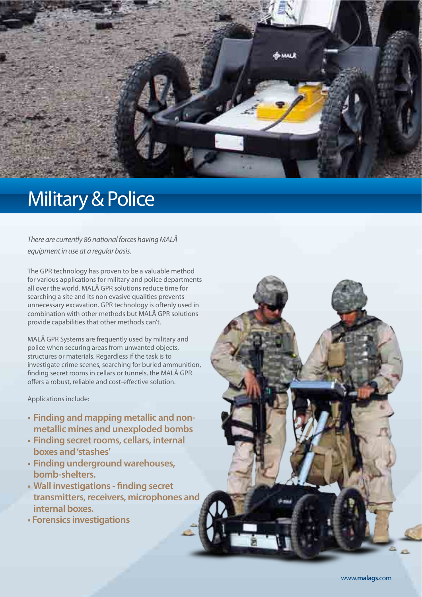

### Military & Police

There are currently 86 national forces having MALÅ equipment in use at a regular basis.

The GPR technology has proven to be a valuable method for various applications for military and police departments all over the world. MALÅ GPR solutions reduce time for searching a site and its non evasive qualities prevents unnecessary excavation. GPR technology is oftenly used in combination with other methods but MALÅ GPR solutions provide capabilities that other methods can't.

MALÅ GPR Systems are frequently used by military and police when securing areas from unwanted objects, structures or materials. Regardless if the task is to investigate crime scenes, searching for buried ammunition, finding secret rooms in cellars or tunnels, the MALÅ GPR offers a robust, reliable and cost-effective solution.

- **t**. Finding and mapping metallic and non**metallic mines and unexploded bombs**
- **Finding secret rooms, cellars, internal boxes and 'stashes'**
- **Finding underground warehouses, bomb-shelters.**
- **Wall investigations finding secret transmitters, receivers, microphones and internal boxes.**
- *t* Forensics investigations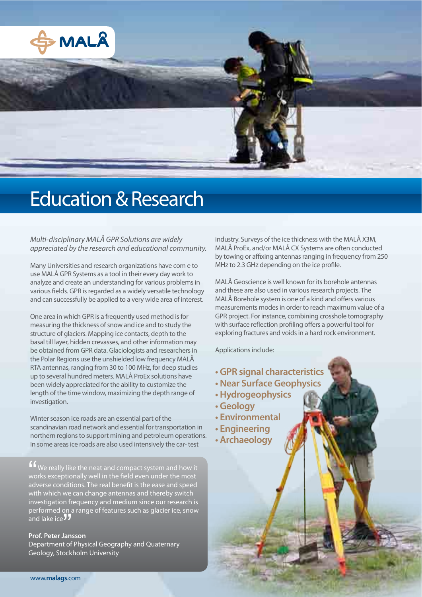

### Education & Research

Multi-disciplinary MALÅ GPR Solutions are widely appreciated by the research and educational community.

Many Universities and research organizations have com e to use MALÅ GPR Systems as a tool in their every day work to analyze and create an understanding for various problems in various fields. GPR is regarded as a widely versatile technology and can successfully be applied to a very wide area of interest.

One area in which GPR is a frequently used method is for measuring the thickness of snow and ice and to study the structure of glaciers. Mapping ice contacts, depth to the basal till layer, hidden crevasses, and other information may be obtained from GPR data. Glaciologists and researchers in the Polar Regions use the unshielded low frequency MALÅ RTA antennas, ranging from 30 to 100 MHz, for deep studies up to several hundred meters. MALÅ ProEx solutions have been widely appreciated for the ability to customize the length of the time window, maximizing the depth range of investigation.

Winter season ice roads are an essential part of the scandinavian road network and essential for transportation in northern regions to support mining and petroleum operations. In some areas ice roads are also used intensively the car- test

 $^{\sim}$   $^{\sim}$   $^{\sim}$   $^{\sim}$   $^{\sim}$   $^{\sim}$   $^{\sim}$   $^{\sim}$   $^{\sim}$   $^{\sim}$   $^{\sim}$   $^{\sim}$   $^{\sim}$   $^{\sim}$   $^{\sim}$   $^{\sim}$   $^{\sim}$   $^{\sim}$   $^{\sim}$   $^{\sim}$   $^{\sim}$   $^{\sim}$   $^{\sim}$   $^{\sim}$   $^{\sim}$   $^{\sim}$   $^{\sim}$   $^{\sim}$   $^{\sim}$   $^{\sim}$   $^{\sim}$   $^{\sim$ If We really like the neat and compact system and how it works exceptionally well in the field even under the most adverse conditions. The real benefit is the ease and speed with which we can change antennas and thereby switch investigation frequency and medium since our research is performed on a range of features such as glacier ice, snow and lake ice 77 performed offeralling<br>and lake ice **JJ**<br>Prof. Peter Jansson

Department of Physical Geography and Quaternary Geology, Stockholm University

industry. Surveys of the ice thickness with the MALÅ X3M, MALÅ ProEx, and/or MALÅ CX Systems are often conducted by towing or affixing antennas ranging in frequency from 250 MHz to 2.3 GHz depending on the ice profile.

MALÅ Geoscience is well known for its borehole antennas and these are also used in various research projects. The MALÅ Borehole system is one of a kind and offers various measurements modes in order to reach maximum value of a GPR project. For instance, combining crosshole tomography with surface reflection profiling offers a powerful tool for exploring fractures and voids in a hard rock environment.

- *t***GPR signal characteristics**
- **Near Surface Geophysics**
- **Hydrogeophysics**
- **Geology**
- **Environmental**
- **Engineering**
- **Archaeology**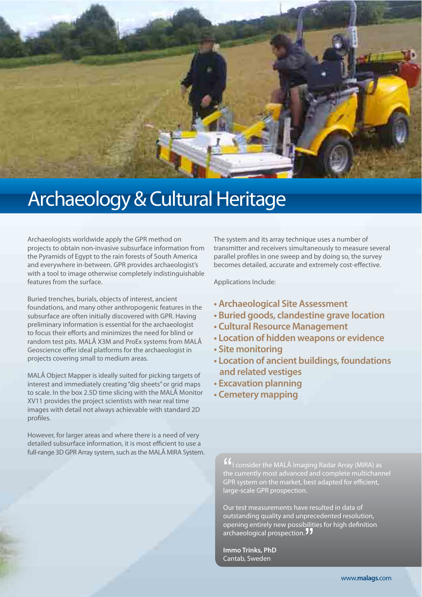

# Archaeology & Cultural Heritage

Archaeologists worldwide apply the GPR method on projects to obtain non-invasive subsurface information from the Pyramids of Egypt to the rain forests of South America and everywhere in-between. GPR provides archaeologist's with a tool to image otherwise completely indistinguishable features from the surface.

Buried trenches, burials, objects of interest, ancient foundations, and many other anthropogenic features in the subsurface are often initially discovered with GPR. Having preliminary information is essential for the archaeologist to focus their efforts and minimizes the need for blind or random test pits. MALÅ X3M and ProEx systems from MALÅ Geoscience offer ideal platforms for the archaeologist in projects covering small to medium areas.

MALÅ Object Mapper is ideally suited for picking targets of interest and immediately creating "dig sheets" or grid maps to scale. In the box 2.5D time slicing with the MALÅ Monitor XV11 provides the project scientists with near real time images with detail not always achievable with standard 2D profiles.

However, for larger areas and where there is a need of very detailed subsurface information, it is most efficient to use a full-range 3D GPR Array system, such as the MALÅ MIRA System. The system and its array technique uses a number of transmitter and receivers simultaneously to measure several parallel profiles in one sweep and by doing so, the survey becomes detailed, accurate and extremely cost-effective.

Applications Include:

- **Archaeological Site Assessment**
- **Buried goods, clandestine grave location**
- **Cultural Resource Management**
- *t***-Location of hidden weapons or evidence**
- **Site monitoring**
- **ELOCATION Of ancient buildings, foundations and related vestiges**
- **Excavation planning**
- **Cemetery mapping**

"<br>the<br>GP **If** consider the MALÅ Imaging Radar Array (MIRA) as the currently most advanced and complete multichannel GPR system on the market, best adapted for efficient, large-scale GPR prospection.

Our test measurements have resulted in data of outstanding quality and unprecedented resolution, opening entirely new possibilities for high definition archaeological prospection.<sup>77</sup><br>archaeological prospection.<sup>77</sup><br>Immo Trinks, PhD

**Immo Trinks, PhD** Cantab, Sweden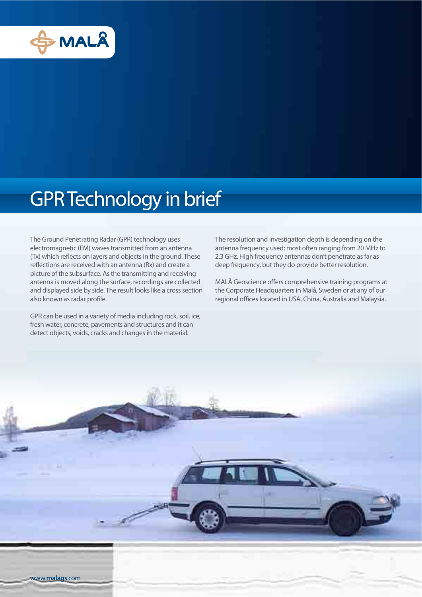

## GPR Technology in brief

The Ground Penetrating Radar (GPR) technology uses electromagnetic (EM) waves transmitted from an antenna (Tx) which reflects on layers and objects in the ground. These reflections are received with an antenna (Rx) and create a picture of the subsurface. As the transmitting and receiving antenna is moved along the surface, recordings are collected and displayed side by side. The result looks like a cross section also known as radar profile.

GPR can be used in a variety of media including rock, soil, ice, fresh water, concrete, pavements and structures and it can detect objects, voids, cracks and changes in the material.

The resolution and investigation depth is depending on the antenna frequency used; most often ranging from 20 MHz to 2.3 GHz. High frequency antennas don't penetrate as far as deep frequency, but they do provide better resolution.

MALÅ Geoscience offers comprehensive training programs at the Corporate Headquarters in Malå, Sweden or at any of our regional offices located in USA, China, Australia and Malaysia.

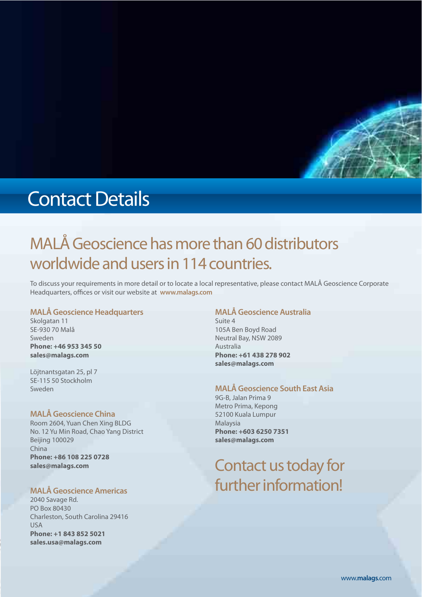

## Contact Details

### MALÅ Geoscience has more than 60 distributors worldwide and users in 114 countries.

To discuss your requirements in more detail or to locate a local representative, please contact MALÅ Geoscience Corporate Headquarters, offices or visit our website at **www.malags.com** 

#### **MALÅ Geoscience Headquarters**

Skolgatan 11 SE-930 70 Malå Sweden **Phone: +46 953 345 50 sales@malags.com**

Löjtnantsgatan 25, pl 7 SE-115 50 Stockholm Sweden

#### **MALÅ Geoscience China**

Room 2604, Yuan Chen Xing BLDG No. 12 Yu Min Road, Chao Yang District Beijing 100029 China **Phone: +86 108 225 0728 sales@malags.com**

#### **MALÅ Geoscience Americas**

2040 Savage Rd. PO Box 80430 Charleston, South Carolina 29416 USA **Phone: +1 843 852 5021 sales.usa@malags.com**

#### **MALÅ Geoscience Australia**

Suite 4 105A Ben Boyd Road Neutral Bay, NSW 2089 Australia **Phone: +61 438 278 902 sales@malags.com**

#### **MALÅ Geoscience South East Asia**

9G-B, Jalan Prima 9 Metro Prima, Kepong 52100 Kuala Lumpur Malaysia **Phone: +603 6250 7351 sales@malags.com**

#### Contact us today for further information!